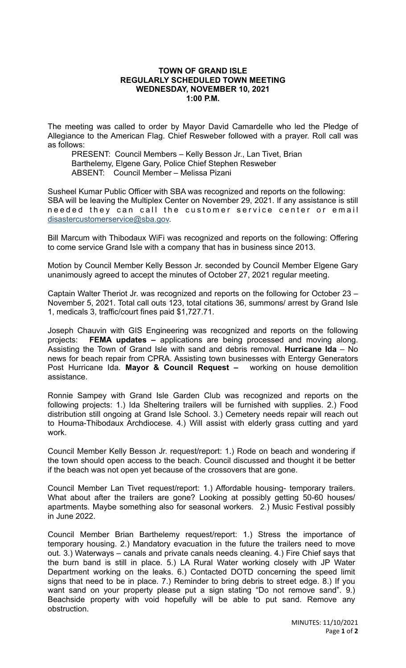## **TOWN OF GRAND ISLE REGULARLY SCHEDULED TOWN MEETING WEDNESDAY, NOVEMBER 10, 2021 1:00 P.M.**

The meeting was called to order by Mayor David Camardelle who led the Pledge of Allegiance to the American Flag. Chief Resweber followed with a prayer. Roll call was as follows:

PRESENT: Council Members – Kelly Besson Jr., Lan Tivet, Brian Barthelemy, Elgene Gary, Police Chief Stephen Resweber ABSENT: Council Member – Melissa Pizani

Susheel Kumar Public Officer with SBA was recognized and reports on the following: SBA will be leaving the Multiplex Center on November 29, 2021. If any assistance is still needed they can call the customer service center or email [disastercustomerservice@sba.gov.](mailto:disastercustomerservice@sba.gov)

Bill Marcum with Thibodaux WiFi was recognized and reports on the following: Offering to come service Grand Isle with a company that has in business since 2013.

Motion by Council Member Kelly Besson Jr. seconded by Council Member Elgene Gary unanimously agreed to accept the minutes of October 27, 2021 regular meeting.

Captain Walter Theriot Jr. was recognized and reports on the following for October 23 – November 5, 2021. Total call outs 123, total citations 36, summons/ arrest by Grand Isle 1, medicals 3, traffic/court fines paid \$1,727.71.

Joseph Chauvin with GIS Engineering was recognized and reports on the following projects: **FEMA updates –** applications are being processed and moving along. Assisting the Town of Grand Isle with sand and debris removal. **Hurricane Ida** – No news for beach repair from CPRA. Assisting town businesses with Entergy Generators Post Hurricane Ida. **Mayor & Council Request –** working on house demolition assistance.

Ronnie Sampey with Grand Isle Garden Club was recognized and reports on the following projects: 1.) Ida Sheltering trailers will be furnished with supplies. 2.) Food distribution still ongoing at Grand Isle School. 3.) Cemetery needs repair will reach out to Houma-Thibodaux Archdiocese. 4.) Will assist with elderly grass cutting and yard work.

Council Member Kelly Besson Jr. request/report: 1.) Rode on beach and wondering if the town should open access to the beach. Council discussed and thought it be better if the beach was not open yet because of the crossovers that are gone.

Council Member Lan Tivet request/report: 1.) Affordable housing- temporary trailers. What about after the trailers are gone? Looking at possibly getting 50-60 houses/ apartments. Maybe something also for seasonal workers. 2.) Music Festival possibly in June 2022.

Council Member Brian Barthelemy request/report: 1.) Stress the importance of temporary housing. 2.) Mandatory evacuation in the future the trailers need to move out. 3.) Waterways – canals and private canals needs cleaning. 4.) Fire Chief says that the burn band is still in place. 5.) LA Rural Water working closely with JP Water Department working on the leaks. 6.) Contacted DOTD concerning the speed limit signs that need to be in place. 7.) Reminder to bring debris to street edge. 8.) If you want sand on your property please put a sign stating "Do not remove sand". 9.) Beachside property with void hopefully will be able to put sand. Remove any obstruction.